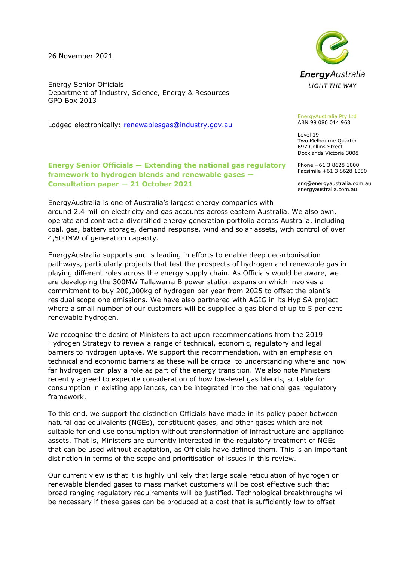26 November 2021

Energy Senior Officials Department of Industry, Science, Energy & Resources GPO Box 2013

Lodged electronically: [renewablesgas@industry.gov.au](mailto:renewablesgas@industry.gov.au)

## **Energy Senior Officials — Extending the national gas regulatory framework to hydrogen blends and renewable gases — Consultation paper — 21 October 2021**

EnergyAustralia is one of Australia's largest energy companies with around 2.4 million electricity and gas accounts across eastern Australia. We also own, operate and contract a diversified energy generation portfolio across Australia, including coal, gas, battery storage, demand response, wind and solar assets, with control of over 4,500MW of generation capacity.

EnergyAustralia supports and is leading in efforts to enable deep decarbonisation pathways, particularly projects that test the prospects of hydrogen and renewable gas in playing different roles across the energy supply chain. As Officials would be aware, we are developing the 300MW Tallawarra B power station expansion which involves a commitment to buy 200,000kg of hydrogen per year from 2025 to offset the plant's residual scope one emissions. We have also partnered with AGIG in its Hyp SA project where a small number of our customers will be supplied a gas blend of up to 5 per cent renewable hydrogen.

We recognise the desire of Ministers to act upon recommendations from the 2019 Hydrogen Strategy to review a range of technical, economic, regulatory and legal barriers to hydrogen uptake. We support this recommendation, with an emphasis on technical and economic barriers as these will be critical to understanding where and how far hydrogen can play a role as part of the energy transition. We also note Ministers recently agreed to expedite consideration of how low-level gas blends, suitable for consumption in existing appliances, can be integrated into the national gas regulatory framework.

To this end, we support the distinction Officials have made in its policy paper between natural gas equivalents (NGEs), constituent gases, and other gases which are not suitable for end use consumption without transformation of infrastructure and appliance assets. That is, Ministers are currently interested in the regulatory treatment of NGEs that can be used without adaptation, as Officials have defined them. This is an important distinction in terms of the scope and prioritisation of issues in this review.

Our current view is that it is highly unlikely that large scale reticulation of hydrogen or renewable blended gases to mass market customers will be cost effective such that broad ranging regulatory requirements will be justified. Technological breakthroughs will be necessary if these gases can be produced at a cost that is sufficiently low to offset



EnergyAustralia Pty Ltd ABN 99 086 014 968

Level 19 Two Melbourne Quarter 697 Collins Street Docklands Victoria 3008

Phone +61 3 8628 1000 Facsimile +61 3 8628 1050

enq@energyaustralia.com.au energyaustralia.com.au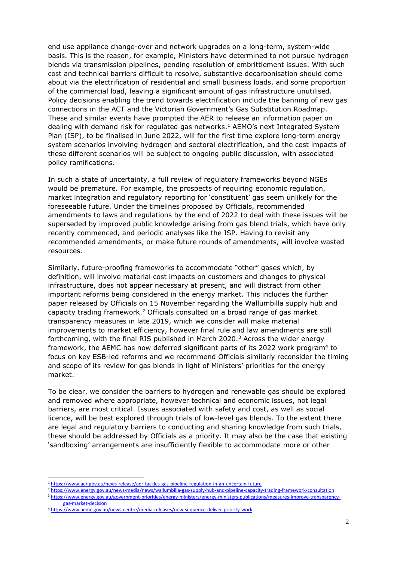end use appliance change-over and network upgrades on a long-term, system-wide basis. This is the reason, for example, Ministers have determined to not pursue hydrogen blends via transmission pipelines, pending resolution of embrittlement issues. With such cost and technical barriers difficult to resolve, substantive decarbonisation should come about via the electrification of residential and small business loads, and some proportion of the commercial load, leaving a significant amount of gas infrastructure unutilised. Policy decisions enabling the trend towards electrification include the banning of new gas connections in the ACT and the Victorian Government's Gas Substitution Roadmap. These and similar events have prompted the AER to release an information paper on dealing with demand risk for regulated gas networks. <sup>1</sup> AEMO's next Integrated System Plan (ISP), to be finalised in June 2022, will for the first time explore long-term energy system scenarios involving hydrogen and sectoral electrification, and the cost impacts of these different scenarios will be subject to ongoing public discussion, with associated policy ramifications.

In such a state of uncertainty, a full review of regulatory frameworks beyond NGEs would be premature. For example, the prospects of requiring economic regulation, market integration and regulatory reporting for 'constituent' gas seem unlikely for the foreseeable future. Under the timelines proposed by Officials, recommended amendments to laws and regulations by the end of 2022 to deal with these issues will be superseded by improved public knowledge arising from gas blend trials, which have only recently commenced, and periodic analyses like the ISP. Having to revisit any recommended amendments, or make future rounds of amendments, will involve wasted resources.

Similarly, future-proofing frameworks to accommodate "other" gases which, by definition, will involve material cost impacts on customers and changes to physical infrastructure, does not appear necessary at present, and will distract from other important reforms being considered in the energy market. This includes the further paper released by Officials on 15 November regarding the Wallumbilla supply hub and capacity trading framework.<sup>2</sup> Officials consulted on a broad range of gas market transparency measures in late 2019, which we consider will make material improvements to market efficiency, however final rule and law amendments are still forthcoming, with the final RIS published in March 2020.<sup>3</sup> Across the wider energy framework, the AEMC has now deferred significant parts of its 2022 work program<sup>4</sup> to focus on key ESB-led reforms and we recommend Officials similarly reconsider the timing and scope of its review for gas blends in light of Ministers' priorities for the energy market.

To be clear, we consider the barriers to hydrogen and renewable gas should be explored and removed where appropriate, however technical and economic issues, not legal barriers, are most critical. Issues associated with safety and cost, as well as social licence, will be best explored through trials of low-level gas blends. To the extent there are legal and regulatory barriers to conducting and sharing knowledge from such trials, these should be addressed by Officials as a priority. It may also be the case that existing 'sandboxing' arrangements are insufficiently flexible to accommodate more or other

<sup>1</sup> <https://www.aer.gov.au/news-release/aer-tackles-gas-pipeline-regulation-in-an-uncertain-future>

<sup>2</sup> <https://www.energy.gov.au/news-media/news/wallumbilla-gas-supply-hub-and-pipeline-capacity-trading-framework-consultation> <sup>3</sup> [https://www.energy.gov.au/government-priorities/energy-ministers/energy-ministers-publications/measures-improve-transparency](https://www.energy.gov.au/government-priorities/energy-ministers/energy-ministers-publications/measures-improve-transparency-gas-market-decision)[gas-market-decision](https://www.energy.gov.au/government-priorities/energy-ministers/energy-ministers-publications/measures-improve-transparency-gas-market-decision)

<sup>4</sup> <https://www.aemc.gov.au/news-centre/media-releases/new-sequence-deliver-priority-work>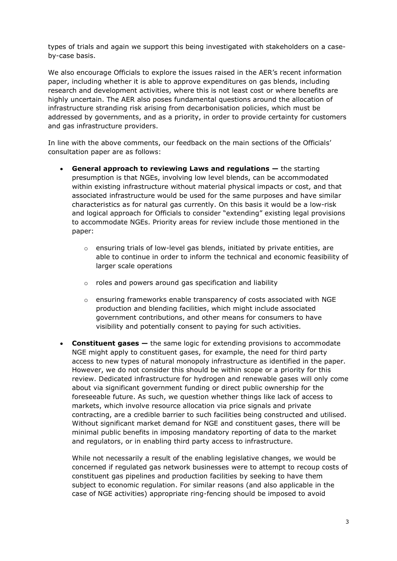types of trials and again we support this being investigated with stakeholders on a caseby-case basis.

We also encourage Officials to explore the issues raised in the AER's recent information paper, including whether it is able to approve expenditures on gas blends, including research and development activities, where this is not least cost or where benefits are highly uncertain. The AER also poses fundamental questions around the allocation of infrastructure stranding risk arising from decarbonisation policies, which must be addressed by governments, and as a priority, in order to provide certainty for customers and gas infrastructure providers.

In line with the above comments, our feedback on the main sections of the Officials' consultation paper are as follows:

- **General approach to reviewing Laws and regulations —** the starting presumption is that NGEs, involving low level blends, can be accommodated within existing infrastructure without material physical impacts or cost, and that associated infrastructure would be used for the same purposes and have similar characteristics as for natural gas currently. On this basis it would be a low-risk and logical approach for Officials to consider "extending" existing legal provisions to accommodate NGEs. Priority areas for review include those mentioned in the paper:
	- $\circ$  ensuring trials of low-level gas blends, initiated by private entities, are able to continue in order to inform the technical and economic feasibility of larger scale operations
	- o roles and powers around gas specification and liability
	- $\circ$  ensuring frameworks enable transparency of costs associated with NGE production and blending facilities, which might include associated government contributions, and other means for consumers to have visibility and potentially consent to paying for such activities.
- **Constituent gases —** the same logic for extending provisions to accommodate NGE might apply to constituent gases, for example, the need for third party access to new types of natural monopoly infrastructure as identified in the paper. However, we do not consider this should be within scope or a priority for this review. Dedicated infrastructure for hydrogen and renewable gases will only come about via significant government funding or direct public ownership for the foreseeable future. As such, we question whether things like lack of access to markets, which involve resource allocation via price signals and private contracting, are a credible barrier to such facilities being constructed and utilised. Without significant market demand for NGE and constituent gases, there will be minimal public benefits in imposing mandatory reporting of data to the market and regulators, or in enabling third party access to infrastructure.

While not necessarily a result of the enabling legislative changes, we would be concerned if regulated gas network businesses were to attempt to recoup costs of constituent gas pipelines and production facilities by seeking to have them subject to economic regulation. For similar reasons (and also applicable in the case of NGE activities) appropriate ring-fencing should be imposed to avoid